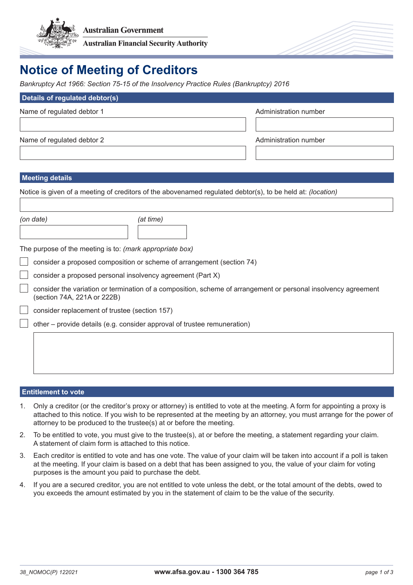

# **Notice of Meeting of Creditors**

*Bankruptcy Act 1966: Section 75-15 of the Insolvency Practice Rules (Bankruptcy) 2016*

| Details of regulated debtor(s) |                       |
|--------------------------------|-----------------------|
| Name of regulated debtor 1     | Administration number |
|                                |                       |
| Name of regulated debtor 2     | Administration number |
|                                |                       |

## **Meeting details**

Notice is given of a meeting of creditors of the abovenamed regulated debtor(s), to be held at: *(location)*

| (on date) | (at time) |
|-----------|-----------|
|           |           |

The purpose of the meeting is to: *(mark appropriate box)*

consider a proposed composition or scheme of arrangement (section 74)

consider a proposed personal insolvency agreement (Part X)

consider the variation or termination of a composition, scheme of arrangement or personal insolvency agreement (section 74A, 221A or 222B)

consider replacement of trustee (section 157)

other – provide details (e.g. consider approval of trustee remuneration)

### **Entitlement to vote**

- 1. Only a creditor (or the creditor's proxy or attorney) is entitled to vote at the meeting. A form for appointing a proxy is attached to this notice. If you wish to be represented at the meeting by an attorney, you must arrange for the power of attorney to be produced to the trustee(s) at or before the meeting.
- 2. To be entitled to vote, you must give to the trustee(s), at or before the meeting, a statement regarding your claim. A statement of claim form is attached to this notice.
- 3. Each creditor is entitled to vote and has one vote. The value of your claim will be taken into account if a poll is taken at the meeting. If your claim is based on a debt that has been assigned to you, the value of your claim for voting purposes is the amount you paid to purchase the debt.
- 4. If you are a secured creditor, you are not entitled to vote unless the debt, or the total amount of the debts, owed to you exceeds the amount estimated by you in the statement of claim to be the value of the security.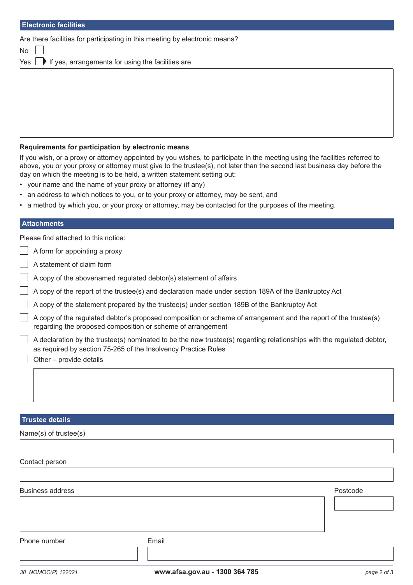| <b>Electronic facilities</b>                                                |
|-----------------------------------------------------------------------------|
| Are there facilities for participating in this meeting by electronic means? |
| <b>No</b>                                                                   |
| $Yes$ $\blacksquare$ If yes, arrangements for using the facilities are      |
|                                                                             |
|                                                                             |
|                                                                             |
|                                                                             |

#### **Requirements for participation by electronic means**

If you wish, or a proxy or attorney appointed by you wishes, to participate in the meeting using the facilities referred to above, you or your proxy or attorney must give to the trustee(s), not later than the second last business day before the day on which the meeting is to be held, a written statement setting out:

- your name and the name of your proxy or attorney (if any)
- an address to which notices to you, or to your proxy or attorney, may be sent, and
- a method by which you, or your proxy or attorney, may be contacted for the purposes of the meeting.

#### **Attachments**

Please find attached to this notice:

A form for appointing a proxy

- A statement of claim form
- A copy of the abovenamed regulated debtor(s) statement of affairs
- A copy of the report of the trustee(s) and declaration made under section 189A of the Bankruptcy Act
- A copy of the statement prepared by the trustee(s) under section 189B of the Bankruptcy Act
- A copy of the regulated debtor's proposed composition or scheme of arrangement and the report of the trustee(s) regarding the proposed composition or scheme of arrangement
- A declaration by the trustee(s) nominated to be the new trustee(s) regarding relationships with the regulated debtor, as required by section 75-265 of the Insolvency Practice Rules
- Other provide details

#### **Trustee details**

Name(s) of trustee(s)

Business address **Postcode** Postcode **Postcode** Postcode **Postcode** Postcode **Postcode** Postcode

Phone number **Email**